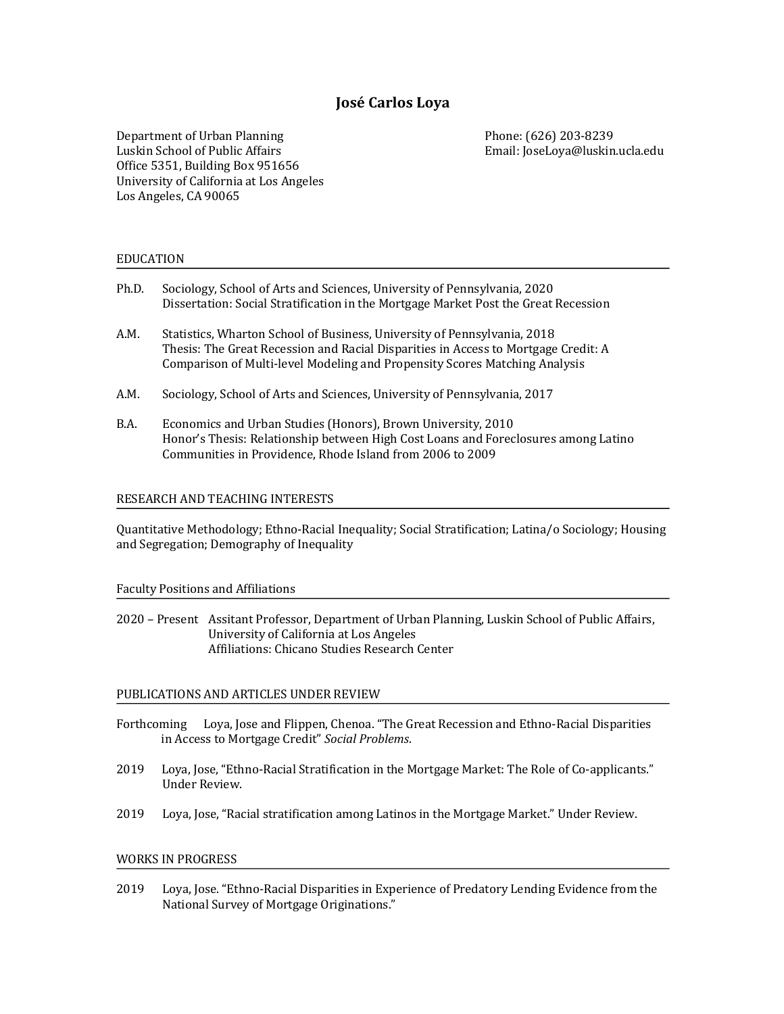# **José Carlos Loya**

Department of Urban Planning Phone: (626) 203-8239 Luskin School of Public Affairs **Email:** JoseLoya@luskin.ucla.edu Office 5351, Building Box 951656 University of California at Los Angeles Los Angeles, CA 90065

# EDUCATION

- Ph.D. Sociology, School of Arts and Sciences, University of Pennsylvania, 2020 Dissertation: Social Stratification in the Mortgage Market Post the Great Recession
- A.M. Statistics, Wharton School of Business, University of Pennsylvania, 2018 Thesis: The Great Recession and Racial Disparities in Access to Mortgage Credit: A Comparison of Multi-level Modeling and Propensity Scores Matching Analysis
- A.M. Sociology, School of Arts and Sciences, University of Pennsylvania, 2017
- B.A. Economics and Urban Studies (Honors), Brown University, 2010 Honor's Thesis: Relationship between High Cost Loans and Foreclosures among Latino Communities in Providence, Rhode Island from 2006 to 2009

### RESEARCH AND TEACHING INTERESTS

Quantitative Methodology; Ethno-Racial Inequality; Social Stratification; Latina/o Sociology; Housing and Segregation; Demography of Inequality

### Faculty Positions and Affiliations

2020 – Present Assitant Professor, Department of Urban Planning, Luskin School of Public Affairs, University of California at Los Angeles Affiliations: Chicano Studies Research Center

# PUBLICATIONS AND ARTICLES UNDER REVIEW

- Forthcoming Loya, Jose and Flippen, Chenoa. "The Great Recession and Ethno-Racial Disparities in Access to Mortgage Credit" *Social Problems*.
- 2019 Loya, Jose, "Ethno-Racial Stratification in the Mortgage Market: The Role of Co-applicants." Under Review.
- 2019 Loya, Jose, "Racial stratification among Latinos in the Mortgage Market." Under Review.

# WORKS IN PROGRESS

2019 Loya, Jose. "Ethno-Racial Disparities in Experience of Predatory Lending Evidence from the National Survey of Mortgage Originations."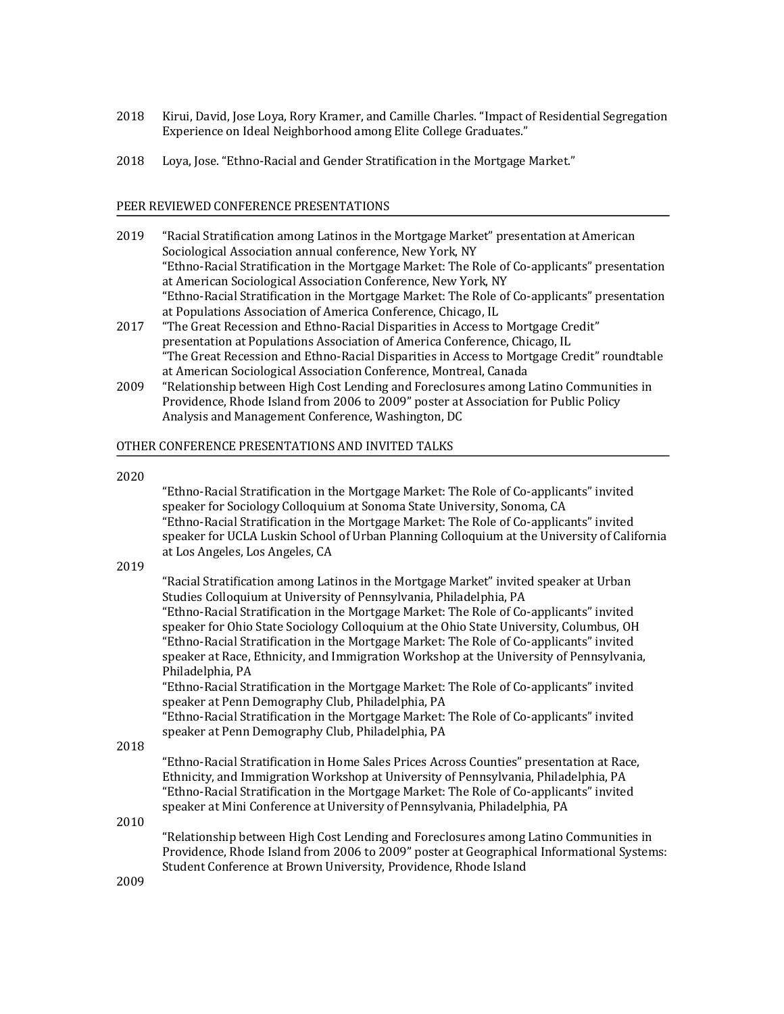- 2018 Kirui, David, Jose Loya, Rory Kramer, and Camille Charles. "Impact of Residential Segregation Experience on Ideal Neighborhood among Elite College Graduates."
- 2018 Loya, Jose. "Ethno-Racial and Gender Stratification in the Mortgage Market."

## PEER REVIEWED CONFERENCE PRESENTATIONS

- 2019 "Racial Stratification among Latinos in the Mortgage Market" presentation at American Sociological Association annual conference, New York, NY "Ethno-Racial Stratification in the Mortgage Market: The Role of Co-applicants" presentation at American Sociological Association Conference, New York, NY "Ethno-Racial Stratification in the Mortgage Market: The Role of Co-applicants" presentation at Populations Association of America Conference, Chicago, IL
- 2017 "The Great Recession and Ethno-Racial Disparities in Access to Mortgage Credit" presentation at Populations Association of America Conference, Chicago, IL "The Great Recession and Ethno-Racial Disparities in Access to Mortgage Credit" roundtable at American Sociological Association Conference, Montreal, Canada
- 2009 "Relationship between High Cost Lending and Foreclosures among Latino Communities in Providence, Rhode Island from 2006 to 2009" poster at Association for Public Policy Analysis and Management Conference, Washington, DC

### OTHER CONFERENCE PRESENTATIONS AND INVITED TALKS

#### 2020

"Ethno-Racial Stratification in the Mortgage Market: The Role of Co-applicants" invited speaker for Sociology Colloquium at Sonoma State University, Sonoma, CA "Ethno-Racial Stratification in the Mortgage Market: The Role of Co-applicants" invited speaker for UCLA Luskin School of Urban Planning Colloquium at the University of California at Los Angeles, Los Angeles, CA

### 2019

"Racial Stratification among Latinos in the Mortgage Market" invited speaker at Urban Studies Colloquium at University of Pennsylvania, Philadelphia, PA "Ethno-Racial Stratification in the Mortgage Market: The Role of Co-applicants" invited speaker for Ohio State Sociology Colloquium at the Ohio State University, Columbus, OH "Ethno-Racial Stratification in the Mortgage Market: The Role of Co-applicants" invited speaker at Race, Ethnicity, and Immigration Workshop at the University of Pennsylvania, Philadelphia, PA

"Ethno-Racial Stratification in the Mortgage Market: The Role of Co-applicants" invited speaker at Penn Demography Club, Philadelphia, PA

"Ethno-Racial Stratification in the Mortgage Market: The Role of Co-applicants" invited speaker at Penn Demography Club, Philadelphia, PA

### 2018

"Ethno-Racial Stratification in Home Sales Prices Across Counties" presentation at Race, Ethnicity, and Immigration Workshop at University of Pennsylvania, Philadelphia, PA "Ethno-Racial Stratification in the Mortgage Market: The Role of Co-applicants" invited speaker at Mini Conference at University of Pennsylvania, Philadelphia, PA

2010 

"Relationship between High Cost Lending and Foreclosures among Latino Communities in Providence, Rhode Island from 2006 to 2009" poster at Geographical Informational Systems: Student Conference at Brown University, Providence, Rhode Island

2009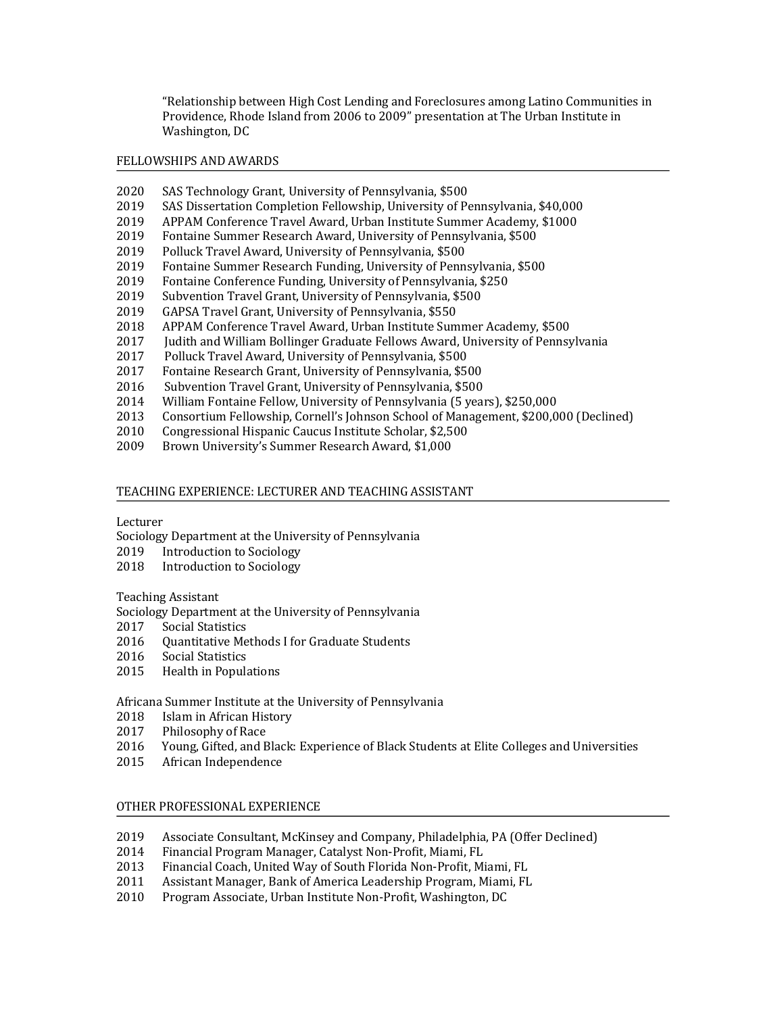"Relationship between High Cost Lending and Foreclosures among Latino Communities in Providence, Rhode Island from 2006 to 2009" presentation at The Urban Institute in Washington, DC

# FELLOWSHIPS AND AWARDS

- 2020 SAS Technology Grant, University of Pennsylvania, \$500
- 2019 SAS Dissertation Completion Fellowship, University of Pennsylvania, \$40,000
- 2019 APPAM Conference Travel Award, Urban Institute Summer Academy, \$1000
- 2019 Fontaine Summer Research Award, University of Pennsylvania, \$500
- 2019 Polluck Travel Award, University of Pennsylvania, \$500
- 2019 Fontaine Summer Research Funding, University of Pennsylvania, \$500
- 2019 Fontaine Conference Funding, University of Pennsylvania, \$250
- 2019 Subvention Travel Grant, University of Pennsylvania, \$500
- 2019 GAPSA Travel Grant, University of Pennsylvania, \$550
- 2018 APPAM Conference Travel Award, Urban Institute Summer Academy, \$500
- 2017 Judith and William Bollinger Graduate Fellows Award, University of Pennsylvania
- 2017 Polluck Travel Award, University of Pennsylvania, \$500
- 2017 Fontaine Research Grant, University of Pennsylvania, \$500
- 2016 Subvention Travel Grant, University of Pennsylvania, \$500
- 2014 William Fontaine Fellow, University of Pennsylvania (5 years), \$250,000
- 2013 Consortium Fellowship, Cornell's Johnson School of Management, \$200,000 (Declined)
- 2010 Congressional Hispanic Caucus Institute Scholar, \$2,500
- 2009 Brown University's Summer Research Award, \$1,000

### TEACHING EXPERIENCE: LECTURER AND TEACHING ASSISTANT

### Lecturer

Sociology Department at the University of Pennsylvania

- 2019 Introduction to Sociology
- 2018 Introduction to Sociology

### Teaching Assistant

Sociology Department at the University of Pennsylvania

- 2017 Social Statistics
- 2016 Quantitative Methods I for Graduate Students
- 2016 Social Statistics
- 2015 Health in Populations

Africana Summer Institute at the University of Pennsylvania

- 2018 Islam in African History
- 2017 Philosophy of Race
- 2016 Young, Gifted, and Black: Experience of Black Students at Elite Colleges and Universities
- 2015 African Independence

# OTHER PROFESSIONAL EXPERIENCE

- 2019 Associate Consultant, McKinsey and Company, Philadelphia, PA (Offer Declined)
- 2014 Financial Program Manager, Catalyst Non-Profit, Miami, FL
- 2013 Financial Coach, United Way of South Florida Non-Profit, Miami, FL
- 2011 Assistant Manager, Bank of America Leadership Program, Miami, FL
- 2010 Program Associate, Urban Institute Non-Profit, Washington, DC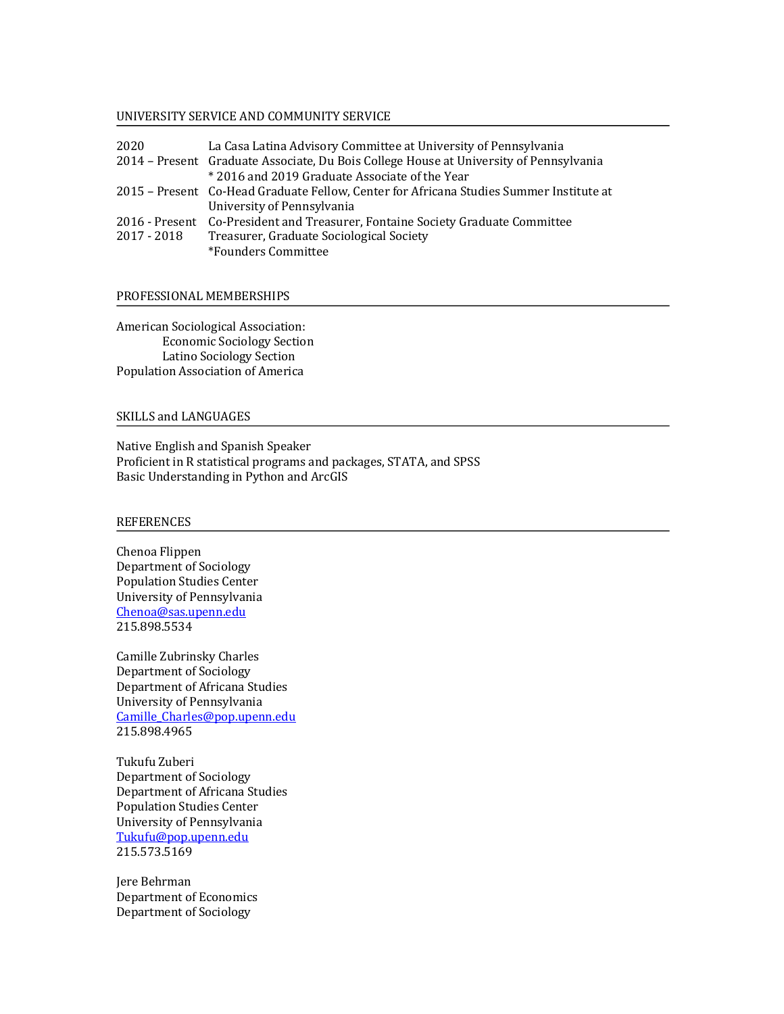#### UNIVERSITY SERVICE AND COMMUNITY SERVICE

| 2020          | La Casa Latina Advisory Committee at University of Pennsylvania                         |
|---------------|-----------------------------------------------------------------------------------------|
|               | 2014 - Present Graduate Associate, Du Bois College House at University of Pennsylvania  |
|               | *2016 and 2019 Graduate Associate of the Year                                           |
|               | 2015 - Present Co-Head Graduate Fellow, Center for Africana Studies Summer Institute at |
|               | University of Pennsylvania                                                              |
|               | 2016 - Present Co-President and Treasurer, Fontaine Society Graduate Committee          |
| $2017 - 2018$ | Treasurer, Graduate Sociological Society                                                |
|               | *Founders Committee                                                                     |

#### PROFESSIONAL MEMBERSHIPS

American Sociological Association: Economic Sociology Section Latino Sociology Section Population Association of America

# SKILLS and LANGUAGES

Native English and Spanish Speaker Proficient in R statistical programs and packages, STATA, and SPSS Basic Understanding in Python and ArcGIS

# REFERENCES

Chenoa Flippen Department of Sociology Population Studies Center University of Pennsylvania Chenoa@sas.upenn.edu 215.898.5534

Camille Zubrinsky Charles Department of Sociology Department of Africana Studies University of Pennsylvania Camille\_Charles@pop.upenn.edu 215.898.4965

Tukufu Zuberi Department of Sociology Department of Africana Studies Population Studies Center University of Pennsylvania Tukufu@pop.upenn.edu 215.573.5169

Jere Behrman Department of Economics Department of Sociology